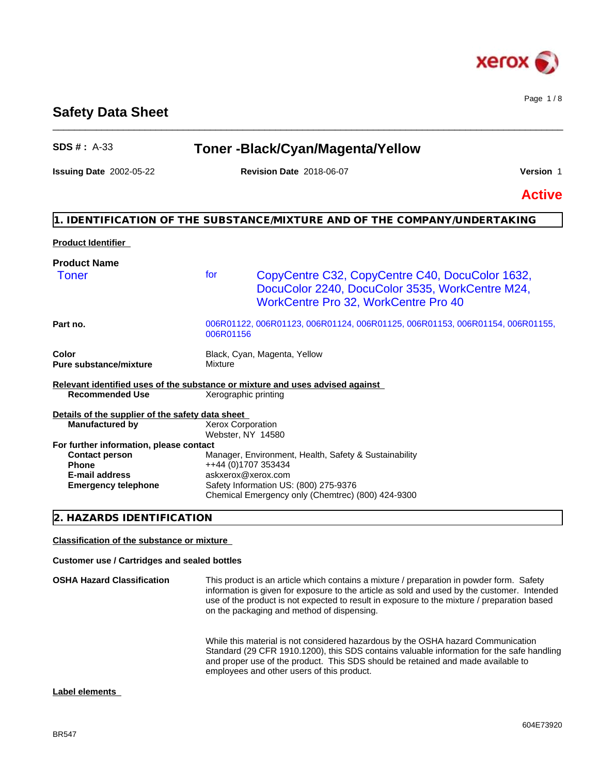

Page 1 / 8

# **Safety Data Sheet**

| <b>SDS #: A-33</b>                               |           | Toner-Black/Cyan/Magenta/Yellow                                                                                                                   |               |
|--------------------------------------------------|-----------|---------------------------------------------------------------------------------------------------------------------------------------------------|---------------|
| <b>Issuing Date 2002-05-22</b>                   |           | <b>Revision Date 2018-06-07</b>                                                                                                                   | Version 1     |
|                                                  |           |                                                                                                                                                   | <b>Active</b> |
|                                                  |           | 1. IDENTIFICATION OF THE SUBSTANCE/MIXTURE AND OF THE COMPANY/UNDERTAKING                                                                         |               |
| <b>Product Identifier</b>                        |           |                                                                                                                                                   |               |
| <b>Product Name</b>                              |           |                                                                                                                                                   |               |
| <b>Toner</b>                                     | for       | CopyCentre C32, CopyCentre C40, DocuColor 1632,<br>DocuColor 2240, DocuColor 3535, WorkCentre M24,<br><b>WorkCentre Pro 32, WorkCentre Pro 40</b> |               |
| Part no.                                         | 006R01156 | 006R01122, 006R01123, 006R01124, 006R01125, 006R01153, 006R01154, 006R01155,                                                                      |               |
| Color<br><b>Pure substance/mixture</b>           | Mixture   | Black, Cyan, Magenta, Yellow                                                                                                                      |               |
|                                                  |           | Relevant identified uses of the substance or mixture and uses advised against                                                                     |               |
| <b>Recommended Use</b>                           |           | Xerographic printing                                                                                                                              |               |
| Details of the supplier of the safety data sheet |           |                                                                                                                                                   |               |
| <b>Manufactured by</b>                           |           | Xerox Corporation                                                                                                                                 |               |
| For further information, please contact          |           | Webster, NY 14580                                                                                                                                 |               |
| <b>Contact person</b>                            |           | Manager, Environment, Health, Safety & Sustainability                                                                                             |               |
| <b>Phone</b>                                     |           | ++44 (0)1707 353434                                                                                                                               |               |
| <b>E-mail address</b>                            |           | askxerox@xerox.com                                                                                                                                |               |
| <b>Emergency telephone</b>                       |           | Safety Information US: (800) 275-9376<br>Chemical Emergency only (Chemtrec) (800) 424-9300                                                        |               |
| 2. HAZARDS IDENTIFICATION                        |           |                                                                                                                                                   |               |

 $\_$  ,  $\_$  ,  $\_$  ,  $\_$  ,  $\_$  ,  $\_$  ,  $\_$  ,  $\_$  ,  $\_$  ,  $\_$  ,  $\_$  ,  $\_$  ,  $\_$  ,  $\_$  ,  $\_$  ,  $\_$  ,  $\_$  ,  $\_$  ,  $\_$  ,  $\_$  ,  $\_$  ,  $\_$  ,  $\_$  ,  $\_$  ,  $\_$  ,  $\_$  ,  $\_$  ,  $\_$  ,  $\_$  ,  $\_$  ,  $\_$  ,  $\_$  ,  $\_$  ,  $\_$  ,  $\_$  ,  $\_$  ,  $\_$  ,

# **Classification of the substance or mixture**

# **Customer use / Cartridges and sealed bottles**

| <b>OSHA Hazard Classification</b> | This product is an article which contains a mixture / preparation in powder form. Safety<br>information is given for exposure to the article as sold and used by the customer. Intended<br>use of the product is not expected to result in exposure to the mixture / preparation based<br>on the packaging and method of dispensing. |
|-----------------------------------|--------------------------------------------------------------------------------------------------------------------------------------------------------------------------------------------------------------------------------------------------------------------------------------------------------------------------------------|
|                                   | While this material is not considered hazardous by the OSHA hazard Communication<br>Standard (29 CFR 1910.1200), this SDS contains valuable information for the safe handling                                                                                                                                                        |

employees and other users of this product.

and proper use of the product. This SDS should be retained and made available to

#### **Label elements**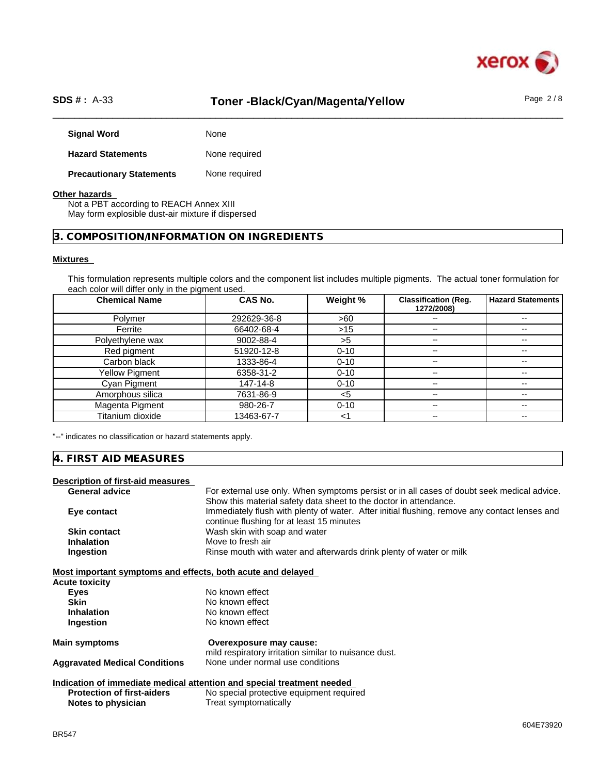

# SDS #: A-33 **Toner -Black/Cyan/Magenta/Yellow** Page 2/8

| <b>Signal Word</b>              | None          |
|---------------------------------|---------------|
| <b>Hazard Statements</b>        | None required |
| <b>Precautionary Statements</b> | None required |

### **Other hazards**

Not a PBT according to REACH Annex XIII May form explosible dust-air mixture if dispersed

# **3. COMPOSITION/INFORMATION ON INGREDIENTS**

### **Mixtures**

This formulation represents multiple colors and the component list includes multiple pigments. The actual toner formulation for each color will differ only in the pigment used.

| <b>Chemical Name</b> | <b>CAS No.</b> | Weight % | <b>Classification (Reg.</b><br>1272/2008) | Hazard Statements        |
|----------------------|----------------|----------|-------------------------------------------|--------------------------|
| Polymer              | 292629-36-8    | >60      | $\overline{\phantom{m}}$                  |                          |
| Ferrite              | 66402-68-4     | >15      | $-$                                       | $\sim$ $\sim$            |
| Polyethylene wax     | 9002-88-4      | >5       | $- -$                                     | $- -$                    |
| Red pigment          | 51920-12-8     | $0 - 10$ | $\overline{\phantom{m}}$                  | $\sim$ $\sim$            |
| Carbon black         | 1333-86-4      | $0 - 10$ | $-$                                       | $- -$                    |
| Yellow Pigment       | 6358-31-2      | $0 - 10$ | $\mathbf{u}$                              | $- -$                    |
| Cyan Pigment         | 147-14-8       | $0 - 10$ | $\overline{\phantom{a}}$                  | $\overline{\phantom{a}}$ |
| Amorphous silica     | 7631-86-9      | $<$ 5    | $\overline{\phantom{a}}$                  | $- -$                    |
| Magenta Pigment      | 980-26-7       | $0 - 10$ | $\overline{\phantom{m}}$                  | $\sim$ $\sim$            |
| Titanium dioxide     | 13463-67-7     | <1       | $\overline{\phantom{a}}$                  | $\overline{\phantom{m}}$ |

"--" indicates no classification or hazard statements apply.

### **4. FIRST AID MEASURES**

#### **Description of first-aid measures**

| <b>Aggravated Medical Conditions</b>                        | None under normal use conditions                                                              |
|-------------------------------------------------------------|-----------------------------------------------------------------------------------------------|
| Main symptoms                                               | Overexposure may cause:<br>mild respiratory irritation similar to nuisance dust.              |
| Ingestion                                                   | No known effect                                                                               |
| <b>Inhalation</b>                                           | No known effect                                                                               |
| <b>Skin</b>                                                 | No known effect                                                                               |
| <b>Eyes</b>                                                 | No known effect                                                                               |
| Acute toxicity                                              |                                                                                               |
| Most important symptoms and effects, both acute and delayed |                                                                                               |
| Ingestion                                                   | Rinse mouth with water and afterwards drink plenty of water or milk                           |
| <b>Inhalation</b>                                           | Move to fresh air                                                                             |
| <b>Skin contact</b>                                         | Wash skin with soap and water                                                                 |
|                                                             | continue flushing for at least 15 minutes                                                     |
| Eye contact                                                 | Immediately flush with plenty of water. After initial flushing, remove any contact lenses and |
|                                                             | Show this material safety data sheet to the doctor in attendance.                             |
| <b>General advice</b>                                       | For external use only. When symptoms persist or in all cases of doubt seek medical advice.    |

#### **Indication of immediate medical attention and special treatment needed Protection of first-aiders** No special protective equipment required **Notes to physician** Treat symptomatically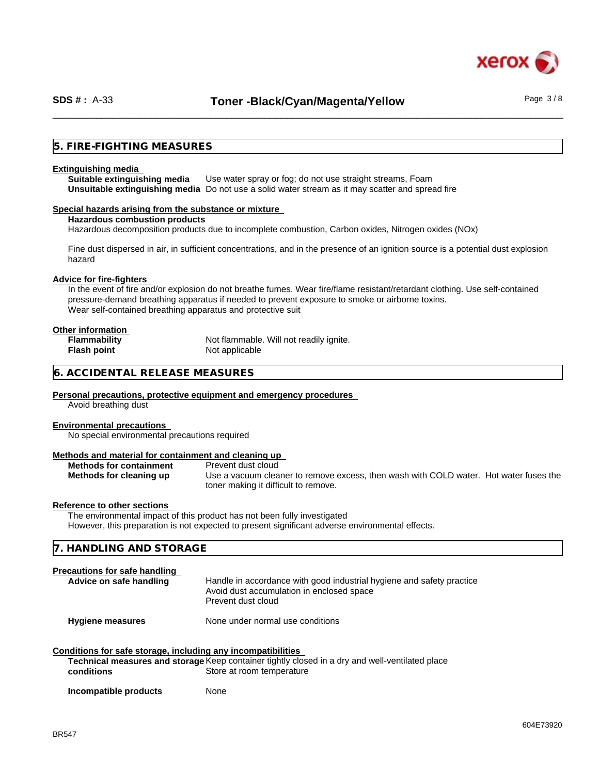

### **5. FIRE-FIGHTING MEASURES**

#### **Extinguishing media**

**Suitable extinguishing media** Use water spray or fog; do not use straight streams, Foam **Unsuitable extinguishing media** Do not use a solid water stream as it may scatterand spread fire

#### **Special hazards arising from the substance or mixture**

**Hazardous combustion products**

Hazardous decomposition products due to incomplete combustion, Carbon oxides, Nitrogen oxides (NOx)

Fine dust dispersed in air, in sufficient concentrations, and in the presence of an ignition source is a potential dust explosion hazard

#### **Advice for fire-fighters**

In the event of fire and/or explosion do not breathe fumes. Wear fire/flame resistant/retardant clothing. Use self-contained pressure-demand breathing apparatus if needed to prevent exposure to smoke or airborne toxins. Wear self-contained breathing apparatus and protective suit

# **Other information**

**Flash point** Not applicable

**Flammability** Not flammable. Will not readily ignite.

# **6. ACCIDENTAL RELEASE MEASURES**

#### **Personal precautions, protective equipment and emergency procedures**

Avoid breathing dust

#### **Environmental precautions**

No special environmental precautions required

#### **Methods and material for containment and cleaning up**

| <b>Methods for containment</b> |  |  |
|--------------------------------|--|--|
| Methods for cleaning up        |  |  |

**Prevent dust cloud** Use a vacuum cleaner to remove excess, then wash with COLD water. Hot water fuses the toner making it difficult to remove.

#### **Reference to other sections**

The environmental impact of this product has not been fully investigated However, this preparation is not expected to present significant adverse environmental effects.

| 7. HANDLING AND STORAGE |  |
|-------------------------|--|
|                         |  |

# **Precautions for safe handling**

| Advice on safe handling | Handle in accordance with good industrial hygiene and safety practice |
|-------------------------|-----------------------------------------------------------------------|
|                         | Avoid dust accumulation in enclosed space                             |
|                         | Prevent dust cloud                                                    |
|                         |                                                                       |

**Hygiene measures** None under normal use conditions

| Conditions for safe storage, including any incompatibilities                                                   |  |  |
|----------------------------------------------------------------------------------------------------------------|--|--|
| . Waxaa ka ka kale dhaqaala iyo dhaqaala iyo dadka waxaa ka dhaqaala dhaqaala ka caadan waxa dheeg dhaqa dhaqa |  |  |

|            | Technical measures and storage Keep container tightly closed in a dry and well-ventilated place |
|------------|-------------------------------------------------------------------------------------------------|
| conditions | Store at room temperature                                                                       |
|            |                                                                                                 |

**Incompatible products** None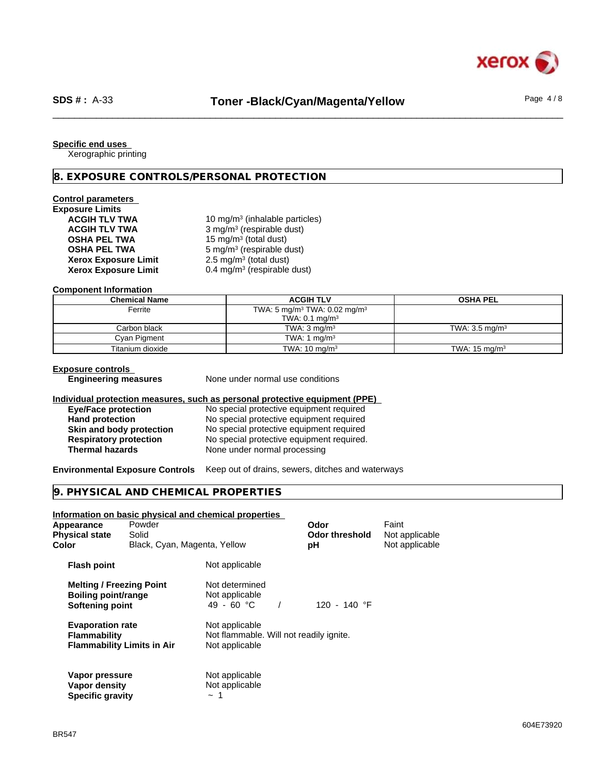

#### **Specific end uses**

Xerographic printing

#### **8. EXPOSURE CONTROLS/PERSONAL PROTECTION**

# **Control parameters**

| <b>Exposure Limits</b>      |                |
|-----------------------------|----------------|
| <b>ACGIH TLV TWA</b>        | 10             |
| <b>ACGIH TLV TWA</b>        | 3 <sub>1</sub> |
| <b>OSHA PEL TWA</b>         | 15             |
| <b>OSHA PEL TWA</b>         | 5 <sub>1</sub> |
| <b>Xerox Exposure Limit</b> | 2.             |
| <b>Xerox Exposure Limit</b> | 0.             |

**ACGIH TLV TWA** 10 mg/m<sup>3</sup> (inhalable particles) **ACGIH TLV TWA** 3 mg/m<sup>3</sup> (respirable dust) **OSHA PEL TWA** 15 mg/m<sup>3</sup> (total dust) **OSHA PEL TWA** 5 mg/m<sup>3</sup> (respirable dust) **Xerox Exposure Limit** 2.5 mg/m<sup>3</sup> (total dust) **Xerox Exposure Limit** 0.4 mg/m<sup>3</sup> (respirable dust)

#### **Component Information**

| <b>Chemical Name</b> | <b>ACGIH TLV</b>                                     | <b>OSHA PEL</b>           |
|----------------------|------------------------------------------------------|---------------------------|
| Ferrite              | TWA: 5 mg/m <sup>3</sup> TWA: 0.02 mg/m <sup>3</sup> |                           |
|                      | TWA: $0.1$ mg/m <sup>3</sup>                         |                           |
| Carbon black         | TWA: $3 \text{ mg/m}^3$                              | TWA: $3.5 \text{ mg/m}^3$ |
| Cyan Pigment         | TWA: 1 $mq/m3$                                       |                           |
| Titanium dioxide     | TWA: $10 \text{ mg/m}^3$                             | TWA: $15 \text{ mg/m}^3$  |

#### **Exposure controls**

**Engineering measures** None under normal use conditions

#### **Individual protection measures, such as personal protective equipment (PPE)**

| <b>Eye/Face protection</b>      | No special protective equipment required  |
|---------------------------------|-------------------------------------------|
| <b>Hand protection</b>          | No special protective equipment required  |
| <b>Skin and body protection</b> | No special protective equipment required  |
| <b>Respiratory protection</b>   | No special protective equipment required. |
| Thermal hazards                 | None under normal processing              |

**Environmental Exposure Controls** Keep out of drains, sewers, ditches and waterways

### **9. PHYSICAL AND CHEMICAL PROPERTIES**

**Specific gravity**  $\sim 1$ 

# **Information on basic physical and chemical properties Appearance** Powder **Consumerance Powder Consumer Powder Powder Powder Service Powder Powder Powder Powder Powder**<br> **Physical state** Solid **Consumer Powder Powder Powder Powder Powder Powder Powder Powder Powder Powder Pow Physical state** Solid **Collomate** Solid **Collomate Collomate Color Color Color Color Color Color Color Color Color Color Color Color Color Color Color Color Color Color Color Color** Black, Cyan, Magenta, Yellow **pH** Not applicable **Flash point** Not applicable

| <b>Melting / Freezing Point</b><br><b>Boiling point/range</b><br>Softening point | Not determined<br>Not applicable<br>49 - 60 °C<br>120 - 140 °F |  |  |
|----------------------------------------------------------------------------------|----------------------------------------------------------------|--|--|
| <b>Evaporation rate</b>                                                          | Not applicable                                                 |  |  |
| <b>Flammability</b>                                                              | Not flammable. Will not readily ignite.                        |  |  |
| <b>Flammability Limits in Air</b>                                                | Not applicable                                                 |  |  |
| Vapor pressure                                                                   | Not applicable                                                 |  |  |
| Vapor density                                                                    | Not applicable                                                 |  |  |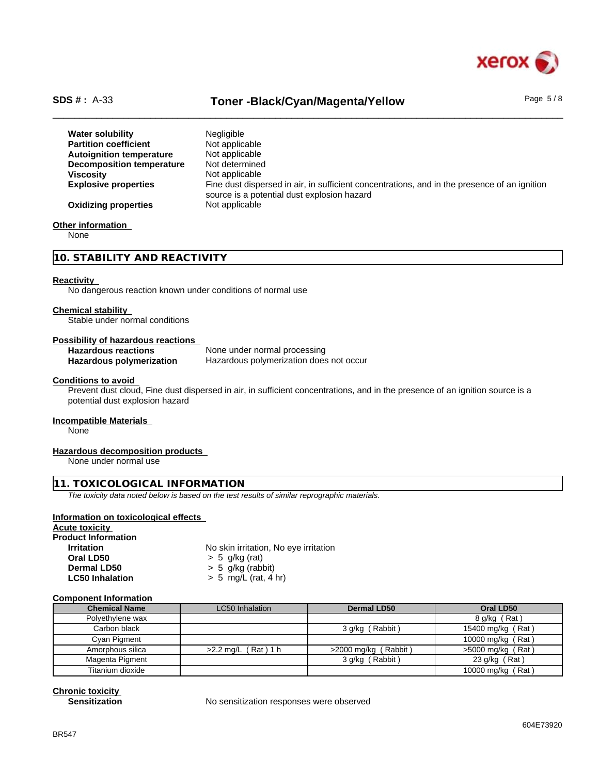

# SDS #: A-33 **Toner -Black/Cyan/Magenta/Yellow** Page 5/8

| <b>Water solubility</b>         | <b>Negligible</b>                                                                            |
|---------------------------------|----------------------------------------------------------------------------------------------|
| <b>Partition coefficient</b>    | Not applicable                                                                               |
| <b>Autoignition temperature</b> | Not applicable                                                                               |
| Decomposition temperature       | Not determined                                                                               |
| <b>Viscosity</b>                | Not applicable                                                                               |
| <b>Explosive properties</b>     | Fine dust dispersed in air, in sufficient concentrations, and in the presence of an ignition |
|                                 | source is a potential dust explosion hazard                                                  |
| <b>Oxidizing properties</b>     | Not applicable                                                                               |

#### **Other information**

None

**10. STABILITY AND REACTIVITY**

#### **Reactivity**

No dangerous reaction known under conditions of normal use

#### **Chemical stability**

Stable under normal conditions

#### **Possibility of hazardous reactions**

**Hazardous reactions** None under normal processing **Hazardous polymerization** Hazardous polymerization does not occur

#### **Conditions to avoid**

Prevent dust cloud, Fine dust dispersed in air, in sufficient concentrations, and in the presence of an ignition source is a potential dust explosion hazard

#### **Incompatible Materials**

None

#### **Hazardous decomposition products**

None under normal use

# **11. TOXICOLOGICAL INFORMATION**

*The toxicity data noted below is based on the test results of similar reprographic materials.*

#### **Information on toxicological effects**

| <b>Acute toxicity</b>      |                                       |
|----------------------------|---------------------------------------|
| <b>Product Information</b> |                                       |
| <b>Irritation</b>          | No skin irritation, No eye irritation |
| Oral LD50                  | $> 5$ q/kg (rat)                      |
| Dermal LD50                | $> 5$ g/kg (rabbit)                   |
| <b>LC50 Inhalation</b>     | $> 5$ mg/L (rat, 4 hr)                |
|                            |                                       |

#### **Component Information**

| <b>Chemical Name</b> | <b>LC50</b> Inhalation | <b>Dermal LD50</b>     | Oral LD50           |  |
|----------------------|------------------------|------------------------|---------------------|--|
| Polyethylene wax     |                        |                        | 8 g/kg (Rat)        |  |
| Carbon black         |                        | 3 g/kg (Rabbit)        | 15400 mg/kg (Rat)   |  |
| Cyan Pigment         |                        |                        | 10000 mg/kg (Rat)   |  |
| Amorphous silica     | $>2.2$ mg/L (Rat) 1 h  | $>2000$ mg/kg (Rabbit) | $>5000$ mg/kg (Rat) |  |
| Magenta Pigment      |                        | 3 g/kg (Rabbit)        | 23 g/kg (Rat)       |  |
| Titanium dioxide     |                        |                        | 10000 mg/kg (Rat)   |  |

**Chronic toxicity**

**Sensitization** Mo sensitization responses were observed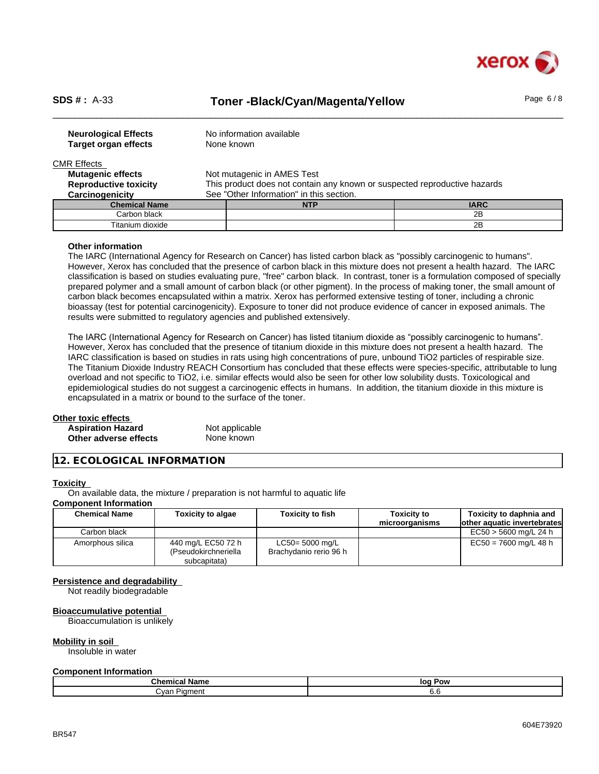

# SDS #: A-33 **Toner -Black/Cyan/Magenta/Yellow** Page 6/8

| <b>Neurological Effects</b><br><b>Target organ effects</b> | No information available<br>None known                                    |             |  |
|------------------------------------------------------------|---------------------------------------------------------------------------|-------------|--|
| <b>CMR Effects</b>                                         |                                                                           |             |  |
| <b>Mutagenic effects</b>                                   | Not mutagenic in AMES Test                                                |             |  |
| <b>Reproductive toxicity</b>                               | This product does not contain any known or suspected reproductive hazards |             |  |
| Carcinogenicity                                            | See "Other Information" in this section.                                  |             |  |
| <b>Chemical Name</b>                                       | <b>NTP</b>                                                                | <b>IARC</b> |  |
| Carbon black                                               |                                                                           | 2B          |  |
| Titanium dioxide                                           |                                                                           | 2B          |  |

#### **Other information**

The IARC (International Agency for Research on Cancer) has listed carbon black as "possibly carcinogenic to humans". However, Xerox has concluded that the presence of carbon black in this mixture does not present a health hazard. The IARC classification is based on studies evaluating pure, "free" carbon black. In contrast, toner is a formulation composed of specially prepared polymer and a small amount of carbon black (or other pigment). In the process of making toner, the small amount of carbon black becomes encapsulated within a matrix. Xerox has performed extensive testing of toner, including a chronic bioassay (test for potential carcinogenicity). Exposure to toner did not produce evidence of cancer in exposed animals. The results were submitted to regulatory agencies and published extensively.

The IARC (International Agency for Research on Cancer) has listed titanium dioxide as "possibly carcinogenic to humans". However, Xerox has concluded that the presence of titanium dioxide in this mixture does not present a health hazard. The IARC classification is based on studies in rats using high concentrations of pure, unbound TiO2 particles of respirable size. The Titanium Dioxide Industry REACH Consortium has concluded that these effects were species-specific, attributable to lung overload and not specific to TiO2, i.e. similar effects would also be seen for other low solubility dusts. Toxicological and epidemiological studies do not suggest a carcinogenic effects in humans. In addition, the titanium dioxide in this mixture is encapsulated in a matrix or bound to the surface of the toner.

#### **Other toxic effects Aspiration Hazard** Not applicable **Other adverse effects** None known

### **12. ECOLOGICAL INFORMATION**

#### **Toxicity**

On available data, the mixture / preparation is not harmful to aquatic life

# **Component Information**

| <b>Chemical Name</b> | <b>Toxicity to algae</b>                   | <b>Toxicity to fish</b>                      | Toxicitv to    | Toxicity to daphnia and      |
|----------------------|--------------------------------------------|----------------------------------------------|----------------|------------------------------|
|                      |                                            |                                              | microorganisms | lother aquatic invertebrates |
| Carbon black         |                                            |                                              |                | EC50 > 5600 mg/L 24 h        |
| Amorphous silica     | 440 mg/L EC50 72 h<br>(Pseudokirchneriella | $LC50 = 5000$ mg/L<br>Brachydanio rerio 96 h |                | $EC50 = 7600$ mg/L 48 h      |
|                      | subcapitata)                               |                                              |                |                              |

#### **Persistence and degradability**

Not readily biodegradable

#### **Bioaccumulative potential**

Bioaccumulation is unlikely

#### **Mobility in soil**

Insoluble in water

#### **Component Information**

| Chemical                   | Pow |
|----------------------------|-----|
| Name                       | loc |
| λvan<br>Piament<br>$    -$ | v.v |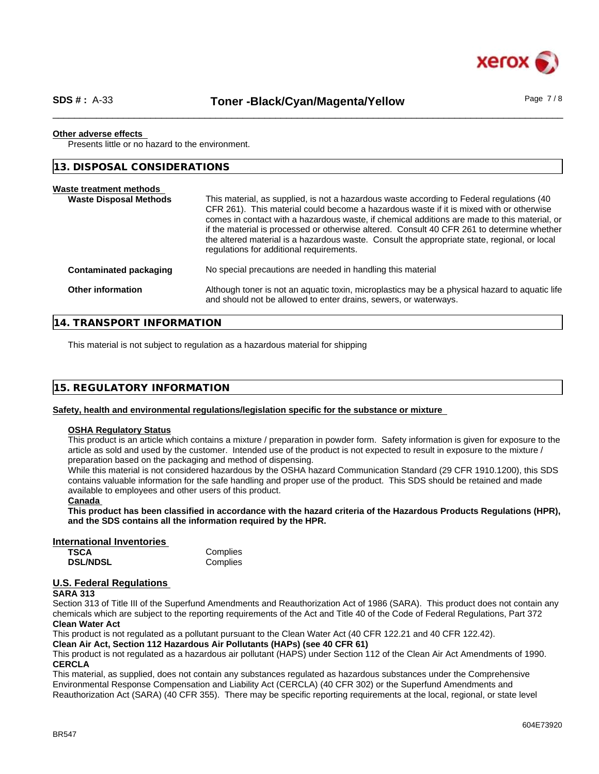

# SDS #: A-33 **Toner -Black/Cyan/Magenta/Yellow** Page 7/8

#### **Other adverse effects**

Presents little or no hazard to the environment.

**13. DISPOSAL CONSIDERATIONS**

| Waste treatment methods<br><b>Waste Disposal Methods</b> | This material, as supplied, is not a hazardous waste according to Federal regulations (40<br>CFR 261). This material could become a hazardous waste if it is mixed with or otherwise<br>comes in contact with a hazardous waste, if chemical additions are made to this material, or<br>if the material is processed or otherwise altered. Consult 40 CFR 261 to determine whether<br>the altered material is a hazardous waste. Consult the appropriate state, regional, or local<br>regulations for additional requirements. |
|----------------------------------------------------------|--------------------------------------------------------------------------------------------------------------------------------------------------------------------------------------------------------------------------------------------------------------------------------------------------------------------------------------------------------------------------------------------------------------------------------------------------------------------------------------------------------------------------------|
| Contaminated packaging                                   | No special precautions are needed in handling this material                                                                                                                                                                                                                                                                                                                                                                                                                                                                    |
| Other information                                        | Although toner is not an aquatic toxin, microplastics may be a physical hazard to aquatic life<br>and should not be allowed to enter drains, sewers, or waterways.                                                                                                                                                                                                                                                                                                                                                             |

**14. TRANSPORT INFORMATION**

This material is not subject to regulation as a hazardous material for shipping

| 15. REGULATORY INFORMATION |  |
|----------------------------|--|
|----------------------------|--|

#### **Safety, health and environmental regulations/legislation specific for the substance or mixture**

#### **OSHA Regulatory Status**

This product is an article which contains a mixture / preparation in powder form. Safety information is given for exposure to the article as sold and used by the customer. Intended use of the product is not expected to result in exposure to the mixture / preparation based on the packaging and method of dispensing.

While this material is not considered hazardous by the OSHA hazard Communication Standard (29 CFR 1910.1200), this SDS contains valuable information for the safe handling and proper use of the product. This SDS should be retained and made available to employees and other users of this product.

# **Canada**

This product has been classified in accordance with the hazard criteria of the Hazardous Products Requlations (HPR). **and the SDS contains all the information required by the HPR.**

#### **International Inventories**

**TSCA** Complies<br> **DSL/NDSL** Complies **DSL/NDSL** 

# **U.S. Federal Regulations**

#### **SARA 313**

Section 313 of Title III of the Superfund Amendments and Reauthorization Act of 1986 (SARA). This product does not contain any chemicals which are subject to the reporting requirements of the Act and Title 40 of the Code of Federal Regulations, Part 372 **Clean Water Act**

This product is not regulated as a pollutant pursuant to the Clean Water Act (40 CFR 122.21 and 40 CFR 122.42).

**Clean Air Act,Section 112 Hazardous Air Pollutants (HAPs) (see 40 CFR 61)**

This product is not regulated as a hazardous air pollutant (HAPS) under Section 112 of the Clean Air Act Amendments of 1990. **CERCLA**

This material, as supplied, does not contain any substances regulated as hazardous substances under the Comprehensive Environmental Response Compensation and Liability Act (CERCLA) (40 CFR 302) or the Superfund Amendments and Reauthorization Act (SARA) (40 CFR 355). There may be specific reporting requirements at the local, regional, or state level